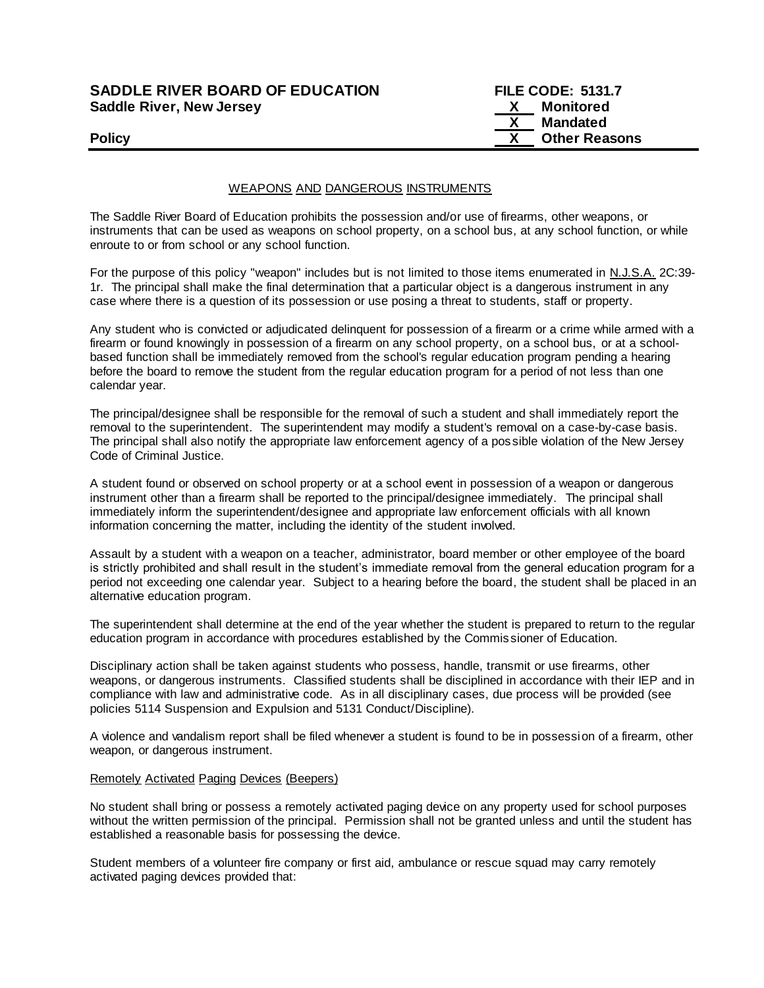| <b>SADDLE RIVER BOARD OF EDUCATION</b> |  |
|----------------------------------------|--|
| <b>Saddle River, New Jersey</b>        |  |

**FILE CODE: 5131.7 X** Monitored  **X Mandated Policy Policy Policy Policy Policy** *COLOREGIST: 2004 <b>COLOREGIST: COLOREGIST: 2004 COLOREGIST: 2004 COLOREGIST: 2004 COLOREGIST: 2004 COLOREGIST: 2004 COLOREGIST: 2004 COLOREGIST: 2004 COLOREGIST: 2004 COLOR* 

## WEAPONS AND DANGEROUS INSTRUMENTS

The Saddle River Board of Education prohibits the possession and/or use of firearms, other weapons, or instruments that can be used as weapons on school property, on a school bus, at any school function, or while enroute to or from school or any school function.

For the purpose of this policy "weapon" includes but is not limited to those items enumerated in N.J.S.A. 2C:39- 1r. The principal shall make the final determination that a particular object is a dangerous instrument in any case where there is a question of its possession or use posing a threat to students, staff or property.

Any student who is convicted or adjudicated delinquent for possession of a firearm or a crime while armed with a firearm or found knowingly in possession of a firearm on any school property, on a school bus, or at a schoolbased function shall be immediately removed from the school's regular education program pending a hearing before the board to remove the student from the regular education program for a period of not less than one calendar year.

The principal/designee shall be responsible for the removal of such a student and shall immediately report the removal to the superintendent. The superintendent may modify a student's removal on a case-by-case basis. The principal shall also notify the appropriate law enforcement agency of a pos sible violation of the New Jersey Code of Criminal Justice.

A student found or observed on school property or at a school event in possession of a weapon or dangerous instrument other than a firearm shall be reported to the principal/designee immediately. The principal shall immediately inform the superintendent/designee and appropriate law enforcement officials with all known information concerning the matter, including the identity of the student involved.

Assault by a student with a weapon on a teacher, administrator, board member or other employee of the board is strictly prohibited and shall result in the student's immediate removal from the general education program for a period not exceeding one calendar year. Subject to a hearing before the board, the student shall be placed in an alternative education program.

The superintendent shall determine at the end of the year whether the student is prepared to return to the regular education program in accordance with procedures established by the Commis sioner of Education.

Disciplinary action shall be taken against students who possess, handle, transmit or use firearms, other weapons, or dangerous instruments. Classified students shall be disciplined in accordance with their IEP and in compliance with law and administrative code. As in all disciplinary cases, due process will be provided (see policies 5114 Suspension and Expulsion and 5131 Conduct/Discipline).

A violence and vandalism report shall be filed whenever a student is found to be in possession of a firearm, other weapon, or dangerous instrument.

#### Remotely Activated Paging Devices (Beepers)

No student shall bring or possess a remotely activated paging device on any property used for school purposes without the written permission of the principal. Permission shall not be granted unless and until the student has established a reasonable basis for possessing the device.

Student members of a volunteer fire company or first aid, ambulance or rescue squad may carry remotely activated paging devices provided that: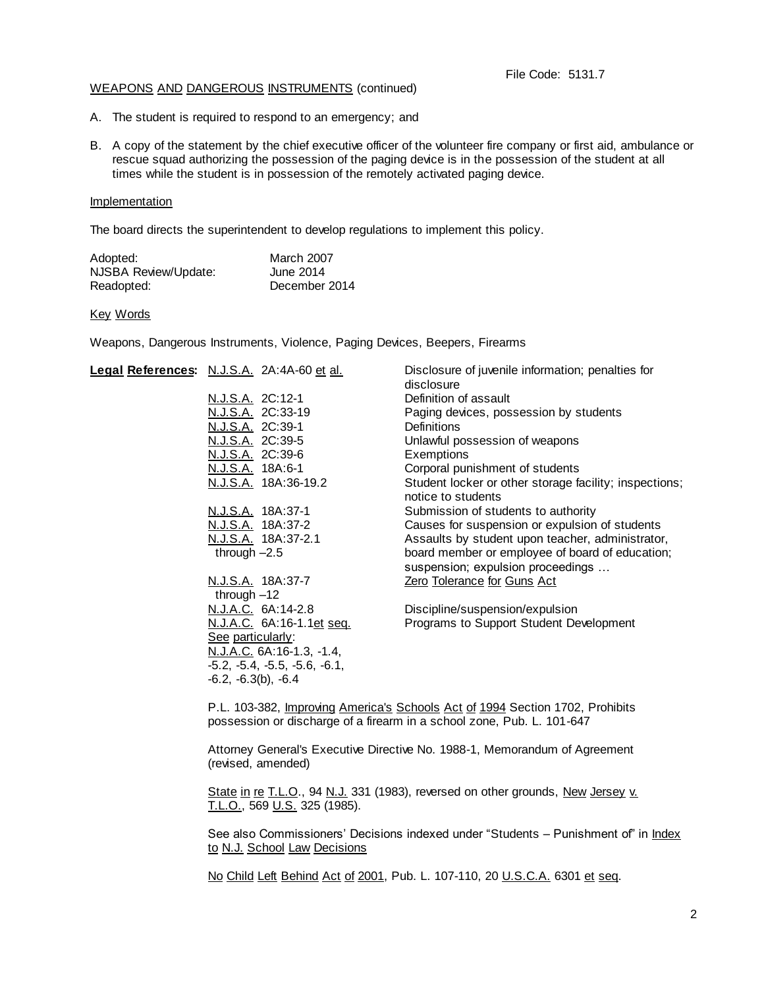#### File Code: 5131.7

#### WEAPONS AND DANGEROUS INSTRUMENTS (continued)

- A. The student is required to respond to an emergency; and
- B. A copy of the statement by the chief executive officer of the volunteer fire company or first aid, ambulance or rescue squad authorizing the possession of the paging device is in the possession of the student at all times while the student is in possession of the remotely activated paging device.

#### Implementation

The board directs the superintendent to develop regulations to implement this policy.

| Adopted:             | <b>March 2007</b> |
|----------------------|-------------------|
| NJSBA Review/Update: | June 2014         |
| Readopted:           | December 2014     |

### Key Words

Weapons, Dangerous Instruments, Violence, Paging Devices, Beepers, Firearms

| Legal References: N.J.S.A. 2A:4A-60 et al. | Disclosure of juvenile information; penalties for<br>disclosure              |
|--------------------------------------------|------------------------------------------------------------------------------|
| N.J.S.A. 2C:12-1                           | Definition of assault                                                        |
| N.J.S.A. 2C:33-19                          | Paging devices, possession by students                                       |
| N.J.S.A. 2C:39-1                           | <b>Definitions</b>                                                           |
| N.J.S.A. 2C:39-5                           | Unlawful possession of weapons                                               |
| N.J.S.A. 2C:39-6                           | Exemptions                                                                   |
| N.J.S.A. 18A:6-1                           | Corporal punishment of students                                              |
| N.J.S.A. 18A:36-19.2                       | Student locker or other storage facility; inspections;<br>notice to students |
| N.J.S.A. 18A:37-1                          | Submission of students to authority                                          |
| N.J.S.A. 18A:37-2                          | Causes for suspension or expulsion of students                               |
| <u>N.J.S.A.</u> 18A:37-2.1                 | Assaults by student upon teacher, administrator,                             |
| through $-2.5$                             | board member or employee of board of education;                              |
|                                            | suspension; expulsion proceedings                                            |
| N.J.S.A. 18A:37-7                          | <b>Zero Tolerance for Guns Act</b>                                           |
| through $-12$                              |                                                                              |
| N.J.A.C. 6A:14-2.8                         | Discipline/suspension/expulsion                                              |
| N.J.A.C. 6A:16-1.1et seq.                  | Programs to Support Student Development                                      |
| <u>See particularly:</u>                   |                                                                              |
| <u>N.J.A.C.</u> 6A:16-1.3, -1.4,           |                                                                              |
| $-5.2, -5.4, -5.5, -5.6, -6.1,$            |                                                                              |
| $-6.2, -6.3(b), -6.4$                      |                                                                              |

P.L. 103-382, Improving America's Schools Act of 1994 Section 1702, Prohibits possession or discharge of a firearm in a school zone, Pub. L. 101-647

Attorney General's Executive Directive No. 1988-1, Memorandum of Agreement (revised, amended)

State in re T.L.O., 94 N.J. 331 (1983), reversed on other grounds, New Jersey v. T.L.O., 569 U.S. 325 (1985).

See also Commissioners' Decisions indexed under "Students - Punishment of" in Index to N.J. School Law Decisions

No Child Left Behind Act of 2001, Pub. L. 107-110, 20 U.S.C.A. 6301 et seq.